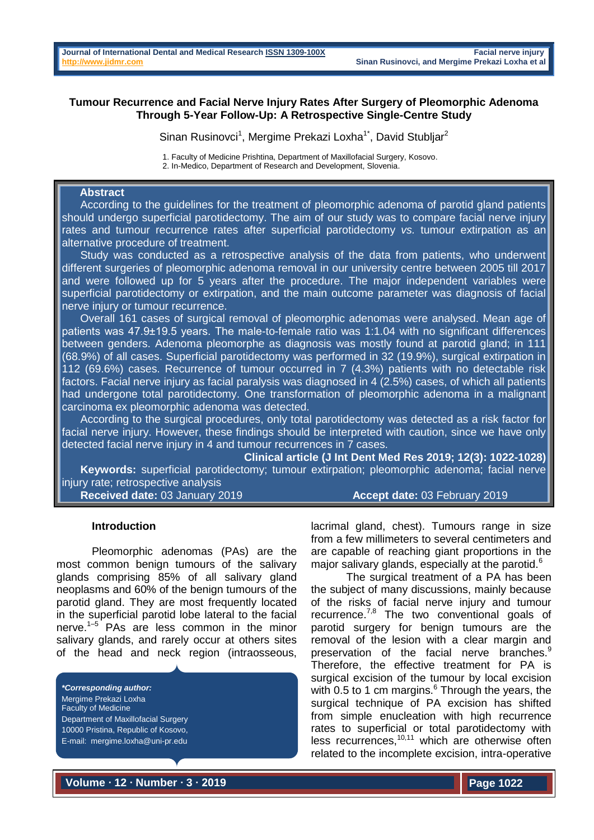### **Tumour Recurrence and Facial Nerve Injury Rates After Surgery of Pleomorphic Adenoma Through 5-Year Follow-Up: A Retrospective Single-Centre Study**

Sinan Rusinovci<sup>1</sup>, Mergime Prekazi Loxha<sup>1\*</sup>, David Stubljar<sup>2</sup>

1. Faculty of Medicine Prishtina, Department of Maxillofacial Surgery, Kosovo. 2. In-Medico, Department of Research and Development, Slovenia.

# **Abstract**

 According to the guidelines for the treatment of pleomorphic adenoma of parotid gland patients should undergo superficial parotidectomy. The aim of our study was to compare facial nerve injury rates and tumour recurrence rates after superficial parotidectomy *vs.* tumour extirpation as an alternative procedure of treatment.

Study was conducted as a retrospective analysis of the data from patients, who underwent different surgeries of pleomorphic adenoma removal in our university centre between 2005 till 2017 and were followed up for 5 years after the procedure. The major independent variables were superficial parotidectomy or extirpation, and the main outcome parameter was diagnosis of facial nerve injury or tumour recurrence.

 Overall 161 cases of surgical removal of pleomorphic adenomas were analysed. Mean age of patients was 47.9±19.5 years. The male-to-female ratio was 1:1.04 with no significant differences between genders. Adenoma pleomorphe as diagnosis was mostly found at parotid gland; in 111 (68.9%) of all cases. Superficial parotidectomy was performed in 32 (19.9%), surgical extirpation in 112 (69.6%) cases. Recurrence of tumour occurred in 7 (4.3%) patients with no detectable risk factors. Facial nerve injury as facial paralysis was diagnosed in 4 (2.5%) cases, of which all patients had undergone total parotidectomy. One transformation of pleomorphic adenoma in a malignant carcinoma ex pleomorphic adenoma was detected.

 According to the surgical procedures, only total parotidectomy was detected as a risk factor for facial nerve injury. However, these findings should be interpreted with caution, since we have only detected facial nerve injury in 4 and tumour recurrences in 7 cases.

**Clinical article (J Int Dent Med Res 2019; 12(3): 1022-1028) Keywords:** superficial parotidectomy; tumour extirpation; pleomorphic adenoma; facial nerve injury rate; retrospective analysis

**Received date:** 03 January 2019 **Accept date:** 03 February 2019

#### **Introduction**

Pleomorphic adenomas (PAs) are the most common benign tumours of the salivary glands comprising 85% of all salivary gland neoplasms and 60% of the benign tumours of the parotid gland. They are most frequently located in the superficial parotid lobe lateral to the facial nerve. $1-5$  PAs are less common in the minor salivary glands, and rarely occur at others sites of the head and neck region (intraosseous,

*\*Corresponding author:* Mergime Prekazi Loxha Faculty of Medicine Department of Maxillofacial Surgery 10000 Pristina, Republic of Kosovo, E-mail: [mergime.loxha@uni-pr.edu](mailto:mergime.loxha@uni-pr.edu) 

lacrimal gland, chest). Tumours range in size from a few millimeters to several centimeters and are capable of reaching giant proportions in the major salivary glands, especially at the parotid.<sup>6</sup>

The surgical treatment of a PA has been the subject of many discussions, mainly because of the risks of facial nerve injury and tumour recurrence. $^{7,8}$  The two conventional goals of parotid surgery for benign tumours are the removal of the lesion with a clear margin and preservation of the facial nerve branches.<sup>9</sup> Therefore, the effective treatment for PA is surgical excision of the tumour by local excision with 0.5 to 1 cm margins. $6$  Through the years, the surgical technique of PA excision has shifted from simple enucleation with high recurrence rates to superficial or total parotidectomy with less recurrences,<sup>10,11</sup> which are otherwise often related to the incomplete excision, intra-operative

**Volume ∙ 12 ∙ Number ∙ 3 ∙ 2019**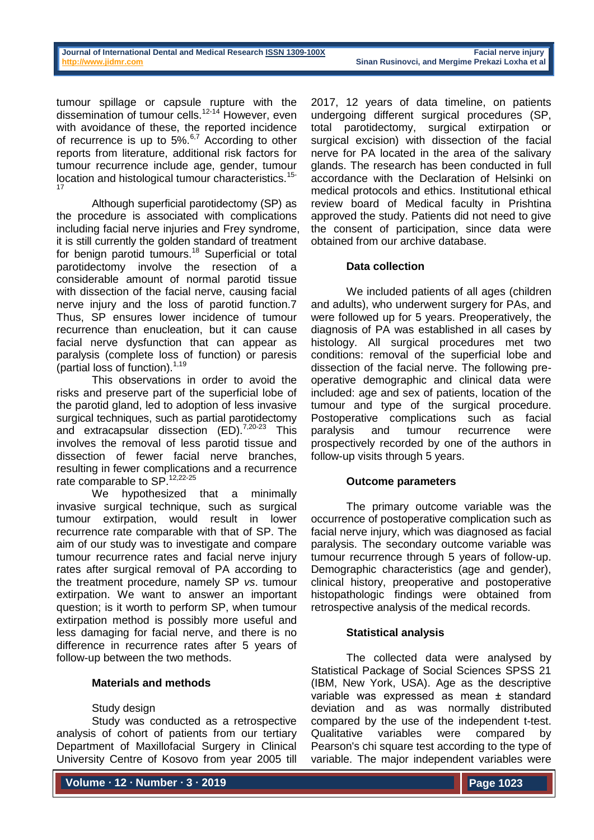tumour spillage or capsule rupture with the dissemination of tumour cells.12-14 However, even with avoidance of these, the reported incidence of recurrence is up to 5%.<sup>6,7</sup> According to other reports from literature, additional risk factors for tumour recurrence include age, gender, tumour location and histological tumour characteristics.<sup>15-</sup> 17

Although superficial parotidectomy (SP) as the procedure is associated with complications including facial nerve injuries and Frey syndrome, it is still currently the golden standard of treatment for benign parotid tumours.<sup>18</sup> Superficial or total parotidectomy involve the resection of a considerable amount of normal parotid tissue with dissection of the facial nerve, causing facial nerve injury and the loss of parotid function.7 Thus, SP ensures lower incidence of tumour recurrence than enucleation, but it can cause facial nerve dysfunction that can appear as paralysis (complete loss of function) or paresis (partial loss of function). $1,19$ 

This observations in order to avoid the risks and preserve part of the superficial lobe of the parotid gland, led to adoption of less invasive surgical techniques, such as partial parotidectomy and extracapsular dissection  $(ED)$ .<sup>7,20-23</sup> This involves the removal of less parotid tissue and dissection of fewer facial nerve branches, resulting in fewer complications and a recurrence rate comparable to SP.<sup>12,22-25</sup>

We hypothesized that a minimally invasive surgical technique, such as surgical tumour extirpation, would result in lower recurrence rate comparable with that of SP. The aim of our study was to investigate and compare tumour recurrence rates and facial nerve injury rates after surgical removal of PA according to the treatment procedure, namely SP *vs*. tumour extirpation. We want to answer an important question; is it worth to perform SP, when tumour extirpation method is possibly more useful and less damaging for facial nerve, and there is no difference in recurrence rates after 5 years of follow-up between the two methods.

# **Materials and methods**

# Study design

Study was conducted as a retrospective analysis of cohort of patients from our tertiary Department of Maxillofacial Surgery in Clinical University Centre of Kosovo from year 2005 till 2017, 12 years of data timeline, on patients undergoing different surgical procedures (SP, total parotidectomy, surgical extirpation or surgical excision) with dissection of the facial nerve for PA located in the area of the salivary glands. The research has been conducted in full accordance with the Declaration of Helsinki on medical protocols and ethics. Institutional ethical review board of Medical faculty in Prishtina approved the study. Patients did not need to give the consent of participation, since data were obtained from our archive database.

# **Data collection**

We included patients of all ages (children and adults), who underwent surgery for PAs, and were followed up for 5 years. Preoperatively, the diagnosis of PA was established in all cases by histology. All surgical procedures met two conditions: removal of the superficial lobe and dissection of the facial nerve. The following preoperative demographic and clinical data were included: age and sex of patients, location of the tumour and type of the surgical procedure. Postoperative complications such as facial paralysis and tumour recurrence were prospectively recorded by one of the authors in follow-up visits through 5 years.

#### **Outcome parameters**

The primary outcome variable was the occurrence of postoperative complication such as facial nerve injury, which was diagnosed as facial paralysis. The secondary outcome variable was tumour recurrence through 5 years of follow-up. Demographic characteristics (age and gender), clinical history, preoperative and postoperative histopathologic findings were obtained from retrospective analysis of the medical records.

# **Statistical analysis**

The collected data were analysed by Statistical Package of Social Sciences SPSS 21 (IBM, New York, USA). Age as the descriptive variable was expressed as mean ± standard deviation and as was normally distributed compared by the use of the independent t-test. Qualitative variables were compared by Pearson's chi square test according to the type of variable. The major independent variables were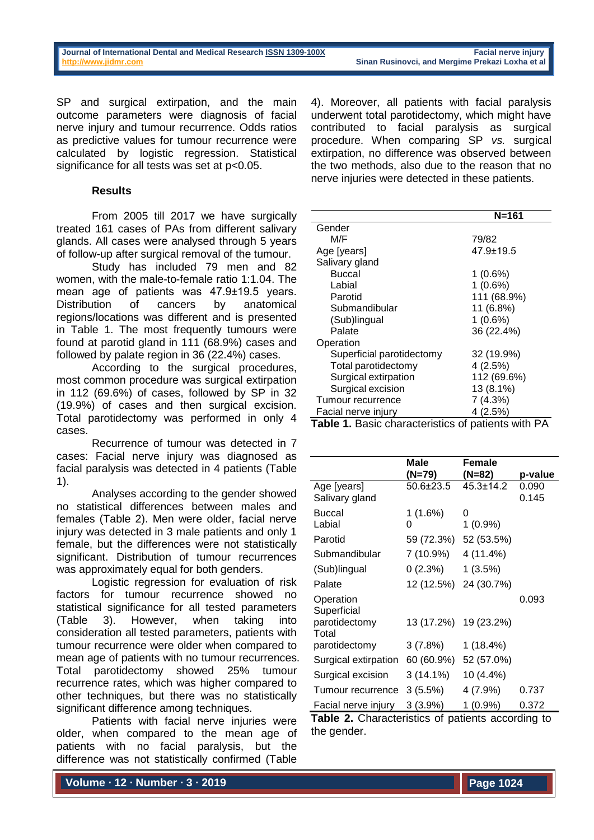SP and surgical extirpation, and the main outcome parameters were diagnosis of facial nerve injury and tumour recurrence. Odds ratios as predictive values for tumour recurrence were calculated by logistic regression. Statistical significance for all tests was set at  $p<0.05$ .

## **Results**

From 2005 till 2017 we have surgically treated 161 cases of PAs from different salivary glands. All cases were analysed through 5 years of follow-up after surgical removal of the tumour.

Study has included 79 men and 82 women, with the male-to-female ratio 1:1.04. The mean age of patients was 47.9±19.5 years. Distribution of cancers by anatomical regions/locations was different and is presented in Table 1. The most frequently tumours were found at parotid gland in 111 (68.9%) cases and followed by palate region in 36 (22.4%) cases.

According to the surgical procedures, most common procedure was surgical extirpation in 112 (69.6%) of cases, followed by SP in 32 (19.9%) of cases and then surgical excision. Total parotidectomy was performed in only 4 cases.

Recurrence of tumour was detected in 7 cases: Facial nerve injury was diagnosed as facial paralysis was detected in 4 patients (Table 1).

Analyses according to the gender showed no statistical differences between males and females (Table 2). Men were older, facial nerve injury was detected in 3 male patients and only 1 female, but the differences were not statistically significant. Distribution of tumour recurrences was approximately equal for both genders.

Logistic regression for evaluation of risk factors for tumour recurrence showed no statistical significance for all tested parameters (Table 3). However, when taking into consideration all tested parameters, patients with tumour recurrence were older when compared to mean age of patients with no tumour recurrences. Total parotidectomy showed 25% tumour recurrence rates, which was higher compared to other techniques, but there was no statistically significant difference among techniques.

Patients with facial nerve injuries were older, when compared to the mean age of patients with no facial paralysis, but the difference was not statistically confirmed (Table

4). Moreover, all patients with facial paralysis underwent total parotidectomy, which might have contributed to facial paralysis as surgical procedure. When comparing SP *vs.* surgical extirpation, no difference was observed between the two methods, also due to the reason that no nerve injuries were detected in these patients.

|                           | N=161       |
|---------------------------|-------------|
| Gender                    |             |
| M/F                       | 79/82       |
| Age [years]               | 47.9±19.5   |
| Salivary gland            |             |
| <b>Buccal</b>             | 1(0.6%)     |
| Labial                    | 1(0.6%)     |
| Parotid                   | 111 (68.9%) |
| Submandibular             | 11 (6.8%)   |
| (Sub)lingual              | $1(0.6\%)$  |
| Palate                    | 36 (22.4%)  |
| Operation                 |             |
| Superficial parotidectomy | 32 (19.9%)  |
| Total parotidectomy       | 4(2.5%)     |
| Surgical extirpation      | 112 (69.6%) |
| Surgical excision         | 13 (8.1%)   |
| Tumour recurrence         | 7(4.3%)     |
| Facial nerve injury       | 4(2.5%)     |

**Table 1.** Basic characteristics of patients with PA

|                        | Male            | <b>Female</b>   |         |
|------------------------|-----------------|-----------------|---------|
|                        | (N=79)          | (N=82)          | p-value |
| Age [years]            | $50.6 \pm 23.5$ | $45.3 \pm 14.2$ | 0.090   |
| Salivary gland         |                 |                 | 0.145   |
| Buccal                 | 1 (1.6%)        | 0               |         |
| Labial                 | O               | $1(0.9\%)$      |         |
| Parotid                | 59 (72.3%)      | 52 (53.5%)      |         |
| Submandibular          | 7 (10.9%)       | 4 (11.4%)       |         |
| (Sub)lingual           | 0(2.3%)         | 1(3.5%)         |         |
| Palate                 | 12 (12.5%)      | 24 (30.7%)      |         |
| Operation              |                 |                 | 0.093   |
| Superficial            |                 |                 |         |
| parotidectomy<br>Total | 13 (17.2%)      | 19 (23.2%)      |         |
| parotidectomy          | 3(7.8%)         | 1 (18.4%)       |         |
| Surgical extirpation   | 60 (60.9%)      | 52 (57.0%)      |         |
| Surgical excision      | $3(14.1\%)$     | 10 (4.4%)       |         |
| Tumour recurrence      | 3(5.5%)         | 4 (7.9%)        | 0.737   |
| Facial nerve injury    | 3(3.9%)         | $1(0.9\%)$      | 0.372   |

**Table 2.** Characteristics of patients according to the gender.

**Volume ∙ 12 ∙ Number ∙ 3 ∙ 2019**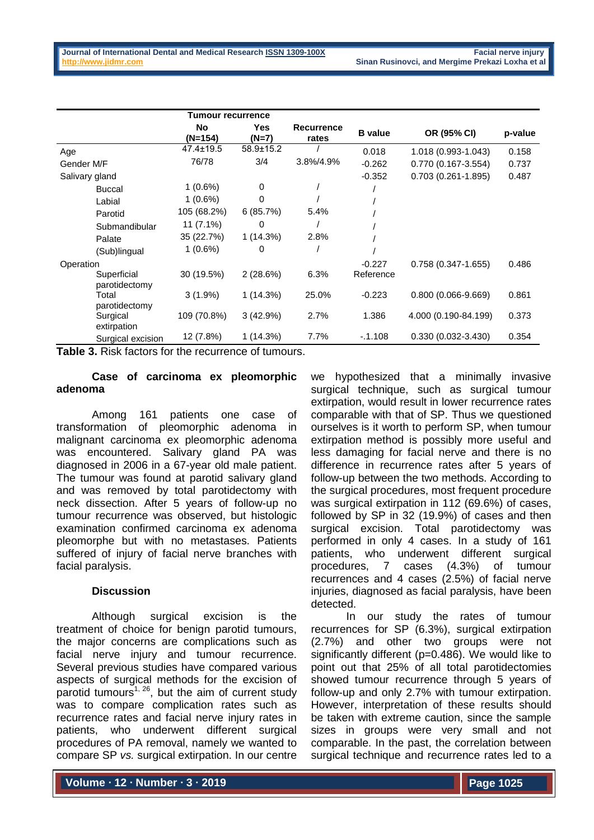|                              | <b>Tumour recurrence</b> |                 |                            |                |                        |         |
|------------------------------|--------------------------|-----------------|----------------------------|----------------|------------------------|---------|
|                              | No<br>(N=154)            | Yes<br>(N=7)    | <b>Recurrence</b><br>rates | <b>B</b> value | OR (95% CI)            | p-value |
| Age                          | 47.4±19.5                | $58.9 \pm 15.2$ |                            | 0.018          | 1.018 (0.993-1.043)    | 0.158   |
| Gender M/F                   | 76/78                    | 3/4             | 3.8%/4.9%                  | $-0.262$       | 0.770 (0.167-3.554)    | 0.737   |
| Salivary gland               |                          |                 |                            | $-0.352$       | $0.703(0.261 - 1.895)$ | 0.487   |
| <b>Buccal</b>                | $1(0.6\%)$               | $\Omega$        |                            |                |                        |         |
| Labial                       | $1(0.6\%)$               | 0               |                            |                |                        |         |
| Parotid                      | 105 (68.2%)              | 6(85.7%)        | 5.4%                       |                |                        |         |
| Submandibular                | 11 (7.1%)                | 0               |                            |                |                        |         |
| Palate                       | 35 (22.7%)               | 1(14.3%)        | 2.8%                       |                |                        |         |
| (Sub)lingual                 | $1(0.6\%)$               | 0               |                            |                |                        |         |
| Operation                    |                          |                 |                            | $-0.227$       | $0.758(0.347 - 1.655)$ | 0.486   |
| Superficial<br>parotidectomy | 30 (19.5%)               | 2(28.6%)        | 6.3%                       | Reference      |                        |         |
| Total<br>parotidectomy       | $3(1.9\%)$               | 1(14.3%)        | 25.0%                      | $-0.223$       | $0.800(0.066 - 9.669)$ | 0.861   |
| Surgical<br>extirpation      | 109 (70.8%)              | 3(42.9%)        | 2.7%                       | 1.386          | 4.000 (0.190-84.199)   | 0.373   |
| Surgical excision            | 12 (7.8%)                | $1(14.3\%)$     | 7.7%                       | $-0.1.108$     | $0.330(0.032 - 3.430)$ | 0.354   |

**Table 3.** Risk factors for the recurrence of tumours.

### **Case of carcinoma ex pleomorphic adenoma**

Among 161 patients one case of transformation of pleomorphic adenoma in malignant carcinoma ex pleomorphic adenoma was encountered. Salivary gland PA was diagnosed in 2006 in a 67-year old male patient. The tumour was found at parotid salivary gland and was removed by total parotidectomy with neck dissection. After 5 years of follow-up no tumour recurrence was observed, but histologic examination confirmed carcinoma ex adenoma pleomorphe but with no metastases. Patients suffered of injury of facial nerve branches with facial paralysis.

# **Discussion**

Although surgical excision is the treatment of choice for benign parotid tumours, the major concerns are complications such as facial nerve injury and tumour recurrence. Several previous studies have compared various aspects of surgical methods for the excision of parotid tumours<sup>1, 26</sup>, but the aim of current study was to compare complication rates such as recurrence rates and facial nerve injury rates in patients, who underwent different surgical procedures of PA removal, namely we wanted to compare SP *vs.* surgical extirpation. In our centre

we hypothesized that a minimally invasive surgical technique, such as surgical tumour extirpation, would result in lower recurrence rates comparable with that of SP. Thus we questioned ourselves is it worth to perform SP, when tumour extirpation method is possibly more useful and less damaging for facial nerve and there is no difference in recurrence rates after 5 years of follow-up between the two methods. According to the surgical procedures, most frequent procedure was surgical extirpation in 112 (69.6%) of cases, followed by SP in 32 (19.9%) of cases and then surgical excision. Total parotidectomy was performed in only 4 cases. In a study of 161 patients, who underwent different surgical procedures, 7 cases (4.3%) of tumour recurrences and 4 cases (2.5%) of facial nerve injuries, diagnosed as facial paralysis, have been detected.

In our study the rates of tumour recurrences for SP (6.3%), surgical extirpation (2.7%) and other two groups were not significantly different (p=0.486). We would like to point out that 25% of all total parotidectomies showed tumour recurrence through 5 years of follow-up and only 2.7% with tumour extirpation. However, interpretation of these results should be taken with extreme caution, since the sample sizes in groups were very small and not comparable. In the past, the correlation between surgical technique and recurrence rates led to a

**Volume ∙ 12 ∙ Number ∙ 3 ∙ 2019**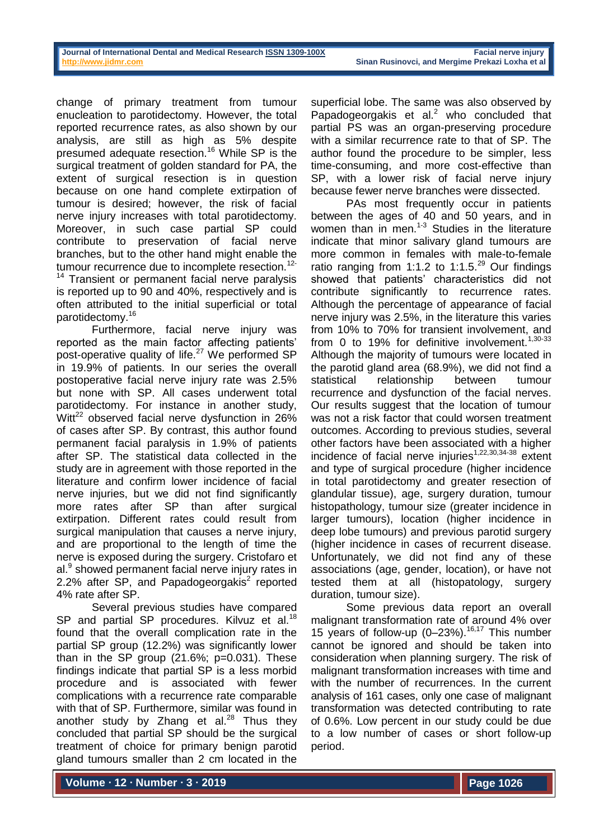change of primary treatment from tumour enucleation to parotidectomy. However, the total reported recurrence rates, as also shown by our analysis, are still as high as 5% despite presumed adequate resection.<sup>16</sup> While SP is the surgical treatment of golden standard for PA, the extent of surgical resection is in question because on one hand complete extirpation of tumour is desired; however, the risk of facial nerve injury increases with total parotidectomy. Moreover, in such case partial SP could contribute to preservation of facial nerve branches, but to the other hand might enable the tumour recurrence due to incomplete resection.<sup>12-</sup> <sup>14</sup> Transient or permanent facial nerve paralysis

is reported up to 90 and 40%, respectively and is often attributed to the initial superficial or total parotidectomy.<sup>16</sup>

Furthermore, facial nerve injury was reported as the main factor affecting patients' post-operative quality of life.<sup>27</sup> We performed SP in 19.9% of patients. In our series the overall postoperative facial nerve injury rate was 2.5% but none with SP. All cases underwent total parotidectomy. For instance in another study, Witt<sup>22</sup> observed facial nerve dysfunction in 26% of cases after SP. By contrast, this author found permanent facial paralysis in 1.9% of patients after SP. The statistical data collected in the study are in agreement with those reported in the literature and confirm lower incidence of facial nerve injuries, but we did not find significantly more rates after SP than after surgical extirpation. Different rates could result from surgical manipulation that causes a nerve injury. and are proportional to the length of time the nerve is exposed during the surgery. Cristofaro et al.<sup>9</sup> showed permanent facial nerve injury rates in 2.2% after SP, and Papadogeorgakis<sup>2</sup> reported 4% rate after SP.

Several previous studies have compared SP and partial SP procedures. Kilvuz et al.<sup>18</sup> found that the overall complication rate in the partial SP group (12.2%) was significantly lower than in the SP group  $(21.6\%; p=0.031)$ . These findings indicate that partial SP is a less morbid procedure and is associated with fewer complications with a recurrence rate comparable with that of SP. Furthermore, similar was found in another study by Zhang et al. $^{28}$  Thus they concluded that partial SP should be the surgical treatment of choice for primary benign parotid gland tumours smaller than 2 cm located in the

superficial lobe. The same was also observed by Papadogeorgakis et al. $^2$  who concluded that partial PS was an organ-preserving procedure with a similar recurrence rate to that of SP. The author found the procedure to be simpler, less time-consuming, and more cost-effective than SP, with a lower risk of facial nerve injury because fewer nerve branches were dissected.

PAs most frequently occur in patients between the ages of 40 and 50 years, and in women than in men.<sup>1-3</sup> Studies in the literature indicate that minor salivary gland tumours are more common in females with male-to-female ratio ranging from 1:1.2 to 1:1.5.<sup>29</sup> Our findings showed that patients' characteristics did not contribute significantly to recurrence rates. Although the percentage of appearance of facial nerve injury was 2.5%, in the literature this varies from 10% to 70% for transient involvement, and from 0 to 19% for definitive involvement.<sup>1,30-33</sup> Although the majority of tumours were located in the parotid gland area (68.9%), we did not find a statistical relationship between tumour recurrence and dysfunction of the facial nerves. Our results suggest that the location of tumour was not a risk factor that could worsen treatment outcomes. According to previous studies, several other factors have been associated with a higher incidence of facial nerve injuries<sup>1,22,30,34-38</sup> extent and type of surgical procedure (higher incidence in total parotidectomy and greater resection of glandular tissue), age, surgery duration, tumour histopathology, tumour size (greater incidence in larger tumours), location (higher incidence in deep lobe tumours) and previous parotid surgery (higher incidence in cases of recurrent disease. Unfortunately, we did not find any of these associations (age, gender, location), or have not tested them at all (histopatology, surgery duration, tumour size).

Some previous data report an overall malignant transformation rate of around 4% over 15 years of follow-up (0–23%).16,17 This number cannot be ignored and should be taken into consideration when planning surgery. The risk of malignant transformation increases with time and with the number of recurrences. In the current analysis of 161 cases, only one case of malignant transformation was detected contributing to rate of 0.6%. Low percent in our study could be due to a low number of cases or short follow-up period.

**Volume ∙ 12 ∙ Number ∙ 3 ∙ 2019**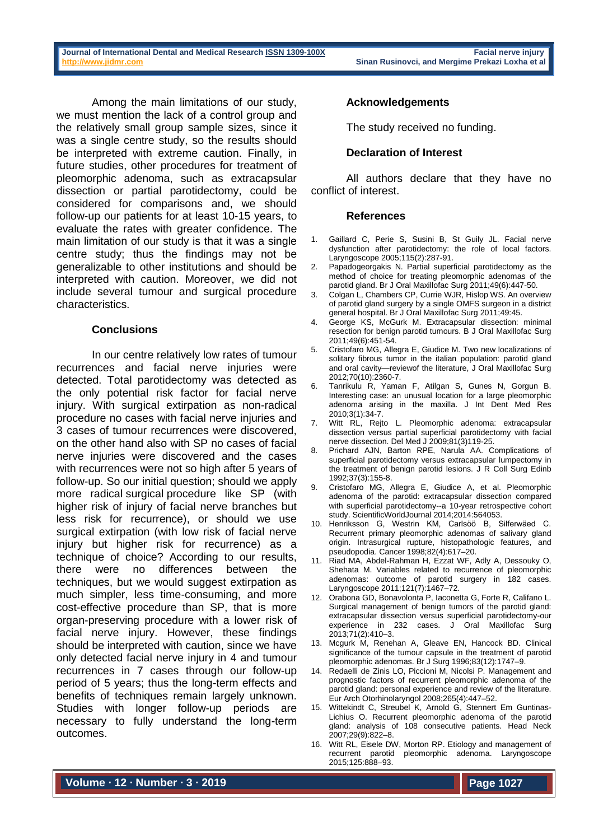Among the main limitations of our study, we must mention the lack of a control group and the relatively small group sample sizes, since it was a single centre study, so the results should be interpreted with extreme caution. Finally, in future studies, other procedures for treatment of pleomorphic adenoma, such as extracapsular dissection or partial parotidectomy, could be considered for comparisons and, we should follow-up our patients for at least 10-15 years, to evaluate the rates with greater confidence. The main limitation of our study is that it was a single centre study; thus the findings may not be generalizable to other institutions and should be interpreted with caution. Moreover, we did not include several tumour and surgical procedure characteristics.

## **Conclusions**

In our centre relatively low rates of tumour recurrences and facial nerve injuries were detected. Total parotidectomy was detected as the only potential risk factor for facial nerve injury. With surgical extirpation as non-radical procedure no cases with facial nerve injuries and 3 cases of tumour recurrences were discovered, on the other hand also with SP no cases of facial nerve injuries were discovered and the cases with recurrences were not so high after 5 years of follow-up. So our initial question; should we apply more radical surgical procedure like SP (with higher risk of injury of facial nerve branches but less risk for recurrence), or should we use surgical extirpation (with low risk of facial nerve injury but higher risk for recurrence) as a technique of choice? According to our results, there were no differences between the techniques, but we would suggest extirpation as much simpler, less time-consuming, and more cost-effective procedure than SP, that is more organ-preserving procedure with a lower risk of facial nerve injury. However, these findings should be interpreted with caution, since we have only detected facial nerve injury in 4 and tumour recurrences in 7 cases through our follow-up period of 5 years; thus the long-term effects and benefits of techniques remain largely unknown. Studies with longer follow-up periods are necessary to fully understand the long-term outcomes.

## **Acknowledgements**

The study received no funding.

### **Declaration of Interest**

All authors declare that they have no conflict of interest.

#### **References**

- 1. Gaillard C, Perie S, Susini B, St Guily JL. Facial nerve dysfunction after parotidectomy: the role of local factors. Laryngoscope 2005;115(2):287-91.
- 2. Papadogeorgakis N. Partial superficial parotidectomy as the method of choice for treating pleomorphic adenomas of the parotid gland. Br J Oral Maxillofac Surg 2011;49(6):447-50.
- 3. Colgan L, Chambers CP, Currie WJR, Hislop WS. An overview of parotid gland surgery by a single OMFS surgeon in a district general hospital. Br J Oral Maxillofac Surg 2011;49:45.
- 4. George KS, McGurk M. Extracapsular dissection: minimal resection for benign parotid tumours. B J Oral Maxillofac Surg 2011;49(6):451-54.
- 5. Cristofaro MG, Allegra E, Giudice M. Two new localizations of solitary fibrous tumor in the italian population: parotid gland and oral cavity—reviewof the literature, J Oral Maxillofac Surg 2012;70(10):2360-7.
- 6. Tanrikulu R, Yaman F, Atilgan S, Gunes N, Gorgun B. Interesting case: an unusual location for a large pleomorphic adenoma arising in the maxilla. J Int Dent Med Res 2010;3(1):34-7.
- 7. Witt RL, Rejto L. Pleomorphic adenoma: extracapsular dissection versus partial superficial parotidectomy with facial nerve dissection. Del Med J 2009;81(3)119-25.
- 8. Prichard AJN, Barton RPE, Narula AA. Complications of superficial parotidectomy versus extracapsular lumpectomy in the treatment of benign parotid lesions. J R Coll Surg Edinb 1992;37(3):155-8.
- 9. Cristofaro MG, Allegra E, Giudice A, et al. Pleomorphic adenoma of the parotid: extracapsular dissection compared with superficial parotidectomy--a 10-year retrospective cohort study. ScientificWorldJournal 2014;2014:564053.
- 10. Henriksson G, Westrin KM, Carlsöö B, Silferwäed C. Recurrent primary pleomorphic adenomas of salivary gland origin. Intrasurgical rupture, histopathologic features, and pseudopodia. Cancer 1998;82(4):617–20.
- 11. Riad MA, Abdel-Rahman H, Ezzat WF, Adly A, Dessouky O, Shehata M. Variables related to recurrence of pleomorphic adenomas: outcome of parotid surgery in 182 cases. Laryngoscope 2011;121(7):1467–72.
- 12. Orabona GD, Bonavolonta P, Iaconetta G, Forte R, Califano L. Surgical management of benign tumors of the parotid gland: extracapsular dissection versus superficial parotidectomy-our experience in 232 cases. J Oral Maxillofac Surg 2013;71(2):410–3.
- 13. Mcgurk M, Renehan A, Gleave EN, Hancock BD. Clinical significance of the tumour capsule in the treatment of parotid pleomorphic adenomas. Br J Surg 1996;83(12):1747–9.
- 14. Redaelli de Zinis LO, Piccioni M, Nicolsi P. Management and prognostic factors of recurrent pleomorphic adenoma of the parotid gland: personal experience and review of the literature. Eur Arch Otorhinolaryngol 2008;265(4):447–52.
- 15. Wittekindt C, Streubel K, Arnold G, Stennert Em Guntinas-Lichius O. Recurrent pleomorphic adenoma of the parotid gland: analysis of 108 consecutive patients. Head Neck 2007;29(9):822–8.
- 16. Witt RL, Eisele DW, Morton RP. Etiology and management of recurrent parotid pleomorphic adenoma. Laryngoscope 2015;125:888–93.

**Volume ∙ 12 ∙ Number ∙ 3 ∙ 2019**